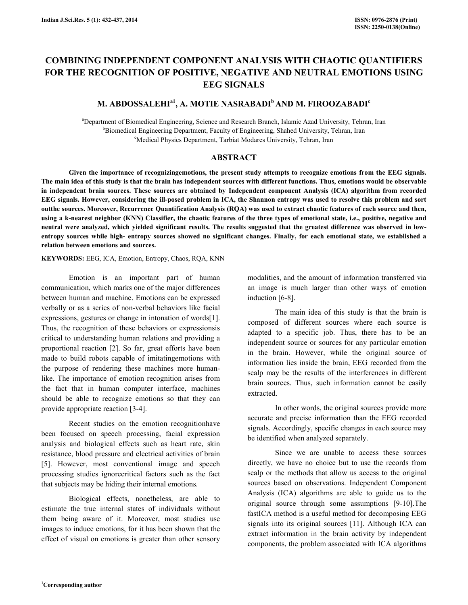# COMBINING INDEPENDENT COMPONENT ANALYSIS WITH CHAOTIC QUANTIFIERS FOR THE RECOGNITION OF POSITIVE, NEGATIVE AND NEUTRAL EMOTIONS USING EEG SIGNALS

# M. ABDOSSALEHI<sup>a1</sup>, A. MOTIE NASRABADI<sup>b</sup> AND M. FIROOZABADI<sup>c</sup>

<sup>a</sup>Department of Biomedical Engineering, Science and Research Branch, Islamic Azad University, Tehran, Iran <sup>b</sup>Biomedical Engineering Department, Faculty of Engineering, Shahed University, Tehran, Iran <sup>c</sup>Medical Physics Department, Tarbiat Modares University, Tehran, Iran

#### ABSTRACT

 Given the importance of recognizingemotions, the present study attempts to recognize emotions from the EEG signals. The main idea of this study is that the brain has independent sources with different functions. Thus, emotions would be observable in independent brain sources. These sources are obtained by Independent component Analysis (ICA) algorithm from recorded EEG signals. However, considering the ill-posed problem in ICA, the Shannon entropy was used to resolve this problem and sort outthe sources. Moreover, Recurrence Quantification Analysis (RQA) was used to extract chaotic features of each source and then, using a k-nearest neighbor (KNN) Classifier, the chaotic features of the three types of emotional state, i.e., positive, negative and neutral were analyzed, which yielded significant results. The results suggested that the greatest difference was observed in lowentropy sources while high- entropy sources showed no significant changes. Finally, for each emotional state, we established a relation between emotions and sources.

#### KEYWORDS: EEG, ICA, Emotion, Entropy, Chaos, RQA, KNN

 Emotion is an important part of human communication, which marks one of the major differences between human and machine. Emotions can be expressed verbally or as a series of non-verbal behaviors like facial expressions, gestures or change in intonation of words[1]. Thus, the recognition of these behaviors or expressionsis critical to understanding human relations and providing a proportional reaction [2]. So far, great efforts have been made to build robots capable of imitatingemotions with the purpose of rendering these machines more humanlike. The importance of emotion recognition arises from the fact that in human computer interface, machines should be able to recognize emotions so that they can provide appropriate reaction [3-4].

 Recent studies on the emotion recognitionhave been focused on speech processing, facial expression analysis and biological effects such as heart rate, skin resistance, blood pressure and electrical activities of brain [5]. However, most conventional image and speech processing studies ignorecritical factors such as the fact that subjects may be hiding their internal emotions.

 Biological effects, nonetheless, are able to estimate the true internal states of individuals without them being aware of it. Moreover, most studies use images to induce emotions, for it has been shown that the effect of visual on emotions is greater than other sensory modalities, and the amount of information transferred via an image is much larger than other ways of emotion induction [6-8].

 The main idea of this study is that the brain is composed of different sources where each source is adapted to a specific job. Thus, there has to be an independent source or sources for any particular emotion in the brain. However, while the original source of information lies inside the brain, EEG recorded from the scalp may be the results of the interferences in different brain sources. Thus, such information cannot be easily extracted.

 In other words, the original sources provide more accurate and precise information than the EEG recorded signals. Accordingly, specific changes in each source may be identified when analyzed separately.

 Since we are unable to access these sources directly, we have no choice but to use the records from scalp or the methods that allow us access to the original sources based on observations. Independent Component Analysis (ICA) algorithms are able to guide us to the original source through some assumptions [9-10].The fastICA method is a useful method for decomposing EEG signals into its original sources [11]. Although ICA can extract information in the brain activity by independent components, the problem associated with ICA algorithms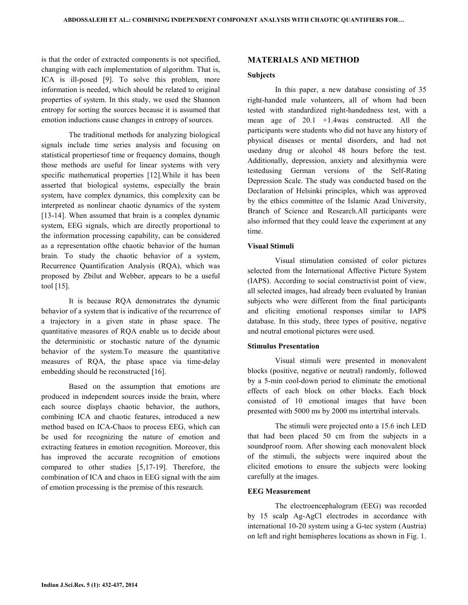is that the order of extracted components is not specified, changing with each implementation of algorithm. That is, ICA is ill-posed [9]. To solve this problem, more information is needed, which should be related to original properties of system. In this study, we used the Shannon entropy for sorting the sources because it is assumed that emotion inductions cause changes in entropy of sources.

 The traditional methods for analyzing biological signals include time series analysis and focusing on statistical propertiesof time or frequency domains, though those methods are useful for linear systems with very specific mathematical properties [12].While it has been asserted that biological systems, especially the brain system, have complex dynamics, this complexity can be interpreted as nonlinear chaotic dynamics of the system [13-14]. When assumed that brain is a complex dynamic system, EEG signals, which are directly proportional to the information processing capability, can be considered as a representation ofthe chaotic behavior of the human brain. To study the chaotic behavior of a system, Recurrence Quantification Analysis (RQA), which was proposed by Zbilut and Webber, appears to be a useful tool [15].

 It is because RQA demonstrates the dynamic behavior of a system that is indicative of the recurrence of a trajectory in a given state in phase space. The quantitative measures of RQA enable us to decide about the deterministic or stochastic nature of the dynamic behavior of the system.To measure the quantitative measures of RQA, the phase space via time-delay embedding should be reconstructed [16].

 Based on the assumption that emotions are produced in independent sources inside the brain, where each source displays chaotic behavior, the authors, combining ICA and chaotic features, introduced a new method based on ICA-Chaos to process EEG, which can be used for recognizing the nature of emotion and extracting features in emotion recognition. Moreover, this has improved the accurate recognition of emotions compared to other studies [5,17-19]. Therefore, the combination of ICA and chaos in EEG signal with the aim of emotion processing is the premise of this research.

#### MATERIALS AND METHOD

#### Subjects

 In this paper, a new database consisting of 35 right-handed male volunteers, all of whom had been tested with standardized right-handedness test, with a mean age of 20.1 +1.4was constructed. All the participants were students who did not have any history of physical diseases or mental disorders, and had not usedany drug or alcohol 48 hours before the test. Additionally, depression, anxiety and alexithymia were testedusing German versions of the Self-Rating Depression Scale. The study was conducted based on the Declaration of Helsinki principles, which was approved by the ethics committee of the Islamic Azad University, Branch of Science and Research.All participants were also informed that they could leave the experiment at any time.

#### Visual Stimuli

 Visual stimulation consisted of color pictures selected from the International Affective Picture System (IAPS). According to social constructivist point of view, all selected images, had already been evaluated by Iranian subjects who were different from the final participants and eliciting emotional responses similar to IAPS database. In this study, three types of positive, negative and neutral emotional pictures were used.

#### Stimulus Presentation

 Visual stimuli were presented in monovalent blocks (positive, negative or neutral) randomly, followed by a 5-min cool-down period to eliminate the emotional effects of each block on other blocks. Each block consisted of 10 emotional images that have been presented with 5000 ms by 2000 ms intertribal intervals.

 The stimuli were projected onto a 15.6 inch LED that had been placed 50 cm from the subjects in a soundproof room. After showing each monovalent block of the stimuli, the subjects were inquired about the elicited emotions to ensure the subjects were looking carefully at the images.

## EEG Measurement

 The electroencephalogram (EEG) was recorded by 15 scalp Ag-AgCl electrodes in accordance with international 10-20 system using a G-tec system (Austria) on left and right hemispheres locations as shown in Fig. 1.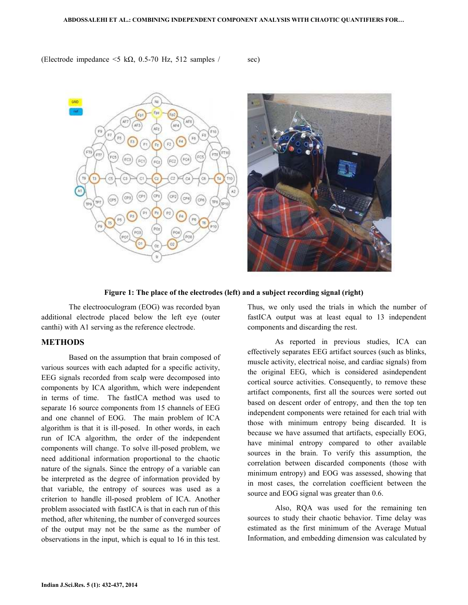(Electrode impedance  $\leq 5$  k $\Omega$ , 0.5-70 Hz, 512 samples / sec)



### Figure 1: The place of the electrodes (left) and a subject recording signal (right)

 The electrooculogram (EOG) was recorded byan additional electrode placed below the left eye (outer canthi) with A1 serving as the reference electrode.

#### METHODS

 Based on the assumption that brain composed of various sources with each adapted for a specific activity, EEG signals recorded from scalp were decomposed into components by ICA algorithm, which were independent in terms of time. The fastICA method was used to separate 16 source components from 15 channels of EEG and one channel of EOG. The main problem of ICA algorithm is that it is ill-posed. In other words, in each run of ICA algorithm, the order of the independent components will change. To solve ill-posed problem, we need additional information proportional to the chaotic nature of the signals. Since the entropy of a variable can be interpreted as the degree of information provided by that variable, the entropy of sources was used as a criterion to handle ill-posed problem of ICA. Another problem associated with fastICA is that in each run of this method, after whitening, the number of converged sources of the output may not be the same as the number of observations in the input, which is equal to 16 in this test.

Thus, we only used the trials in which the number of fastICA output was at least equal to 13 independent components and discarding the rest.

 As reported in previous studies, ICA can effectively separates EEG artifact sources (such as blinks, muscle activity, electrical noise, and cardiac signals) from the original EEG, which is considered asindependent cortical source activities. Consequently, to remove these artifact components, first all the sources were sorted out based on descent order of entropy, and then the top ten independent components were retained for each trial with those with minimum entropy being discarded. It is because we have assumed that artifacts, especially EOG, have minimal entropy compared to other available sources in the brain. To verify this assumption, the correlation between discarded components (those with minimum entropy) and EOG was assessed, showing that in most cases, the correlation coefficient between the source and EOG signal was greater than  $0.6$ .

 Also, RQA was used for the remaining ten sources to study their chaotic behavior. Time delay was estimated as the first minimum of the Average Mutual Information, and embedding dimension was calculated by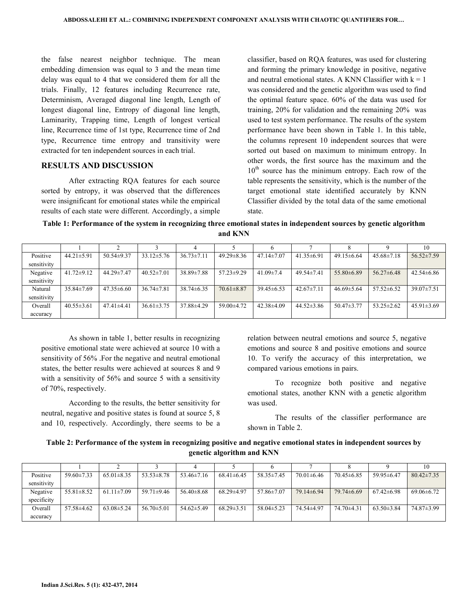the false nearest neighbor technique. The mean embedding dimension was equal to 3 and the mean time delay was equal to 4 that we considered them for all the trials. Finally, 12 features including Recurrence rate, Determinism, Averaged diagonal line length, Length of longest diagonal line, Entropy of diagonal line length, Laminarity, Trapping time, Length of longest vertical line, Recurrence time of 1st type, Recurrence time of 2nd type, Recurrence time entropy and transitivity were extracted for ten independent sources in each trial.

## RESULTS AND DISCUSSION

 After extracting RQA features for each source sorted by entropy, it was observed that the differences were insignificant for emotional states while the empirical results of each state were different. Accordingly, a simple classifier, based on RQA features, was used for clustering and forming the primary knowledge in positive, negative and neutral emotional states. A KNN Classifier with  $k = 1$ was considered and the genetic algorithm was used to find the optimal feature space. 60% of the data was used for training, 20% for validation and the remaining 20% was used to test system performance. The results of the system performance have been shown in Table 1. In this table, the columns represent 10 independent sources that were sorted out based on maximum to minimum entropy. In other words, the first source has the maximum and the  $10<sup>th</sup>$  source has the minimum entropy. Each row of the table represents the sensitivity, which is the number of the target emotional state identified accurately by KNN Classifier divided by the total data of the same emotional state.

Table 1: Performance of the system in recognizing three emotional states in independent sources by genetic algorithm and KNN

|                         |                  |                  |                  |                  |                  |                  |                  |                  |                  | 10               |
|-------------------------|------------------|------------------|------------------|------------------|------------------|------------------|------------------|------------------|------------------|------------------|
| Positive<br>sensitivity | $44.21 \pm 5.91$ | $50.54 \pm 9.37$ | $33.12 \pm 5.76$ | $36.73 \pm 7.11$ | $49.29 \pm 8.36$ | $47.14 \pm 7.07$ | $41.35\pm 6.91$  | $49.15\pm 6.64$  | $45.68 \pm 7.18$ | $56.52 \pm 7.59$ |
| Negative<br>sensitivity | $41.72 \pm 9.12$ | 44.29±7.47       | $40.52 \pm 7.01$ | $38.89 \pm 7.88$ | $57.23 \pm 9.29$ | 41.09 $\pm$ 7.4  | $49.54 \pm 7.41$ | $55.80\pm 6.89$  | $56.27\pm 6.48$  | $42.54\pm 6.86$  |
| Natural<br>sensitivity  | $35.84 \pm 7.69$ | $47.35\pm 6.60$  | $36.74 \pm 7.81$ | $38.74\pm 6.35$  | $70.61 \pm 8.87$ | $39.45 \pm 6.53$ | $42.67 \pm 7.11$ | $46.69 \pm 5.64$ | $57.52 \pm 6.52$ | $39.07 \pm 7.51$ |
| Overall<br>accuracy     | $40.55 \pm 3.61$ | $47.41 \pm 4.41$ | $36.61 \pm 3.75$ | $37.88\pm4.29$   | 59.00±4.72       | $42.38\pm4.09$   | $44.52\pm3.86$   | $50.47\pm3.77$   | $53.25 \pm 2.62$ | $45.91 \pm 3.69$ |

 As shown in table 1, better results in recognizing positive emotional state were achieved at source 10 with a sensitivity of 56% .For the negative and neutral emotional states, the better results were achieved at sources 8 and 9 with a sensitivity of 56% and source 5 with a sensitivity of 70%, respectively.

 According to the results, the better sensitivity for neutral, negative and positive states is found at source 5, 8 and 10, respectively. Accordingly, there seems to be a relation between neutral emotions and source 5, negative emotions and source 8 and positive emotions and source 10. To verify the accuracy of this interpretation, we compared various emotions in pairs.

 To recognize both positive and negative emotional states, another KNN with a genetic algorithm was used.

 The results of the classifier performance are shown in Table 2.

Table 2: Performance of the system in recognizing positive and negative emotional states in independent sources by genetic algorithm and KNN

|             |                  |                  |                  |                |                  |                  |                  |                  |                  | 10               |
|-------------|------------------|------------------|------------------|----------------|------------------|------------------|------------------|------------------|------------------|------------------|
| Positive    | $59.60 \pm 7.33$ | $65.01 \pm 8.35$ | $53.53 \pm 8.78$ | $53.46\pm7.16$ | $68.41 \pm 6.45$ | $58.35 \pm 7.45$ | $70.01 \pm 6.46$ | $70.45 \pm 6.85$ | $59.95\pm 6.47$  | $80.42 \pm 7.35$ |
| sensitivity |                  |                  |                  |                |                  |                  |                  |                  |                  |                  |
| Negative    | $55.81 \pm 8.52$ | $61.11 \pm 7.09$ | $59.71 \pm 9.46$ | $56.40\pm8.68$ | $68.29 \pm 4.97$ | $57.86 \pm 7.07$ | 79.14±6.94       | $79.74\pm 6.69$  | $67.42\pm 6.98$  | $69.06\pm6.72$   |
| specificity |                  |                  |                  |                |                  |                  |                  |                  |                  |                  |
| Overall     | $57.58 \pm 4.62$ | $63.08\pm5.24$   | $56.70 \pm 5.01$ | $54.62\pm5.49$ | $68.29 \pm 3.51$ | $58.04 \pm 5.23$ | 74.54±4.97       | $74.70\pm4.31$   | $63.50 \pm 3.84$ | 74.87±3.99       |
| accuracy    |                  |                  |                  |                |                  |                  |                  |                  |                  |                  |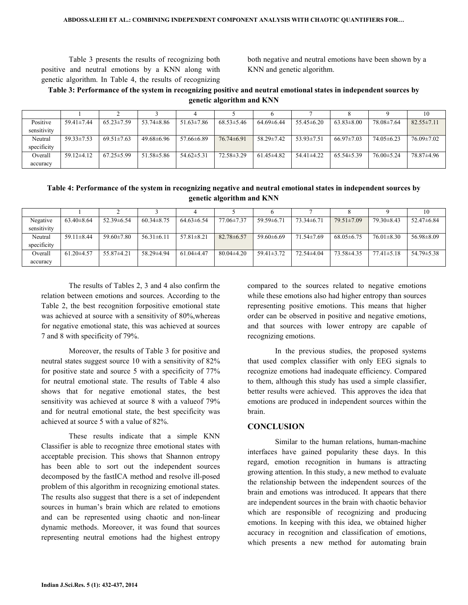Table 3 presents the results of recognizing both positive and neutral emotions by a KNN along with genetic algorithm. In Table 4, the results of recognizing both negative and neutral emotions have been shown by a KNN and genetic algorithm.

## Table 3: Performance of the system in recognizing positive and neutral emotional states in independent sources by genetic algorithm and KNN

|             |                  |                  |                  |                  |                  |                  |                  |                  |                  | 10               |
|-------------|------------------|------------------|------------------|------------------|------------------|------------------|------------------|------------------|------------------|------------------|
| Positive    | $59.41 \pm 7.44$ | $65.23 \pm 7.59$ | $53.74 \pm 8.86$ | $51.63 \pm 7.86$ | $68.53 \pm 5.46$ | $64.69 \pm 6.44$ | $55.45\pm 6.20$  | $63.83 \pm 8.00$ | 78.08±7.64       | $82.55 \pm 7.11$ |
| sensitivity |                  |                  |                  |                  |                  |                  |                  |                  |                  |                  |
| Neutral     | $59.33 \pm 7.53$ | $69.51 \pm 7.63$ | $49.68\pm 6.96$  | $57.66\pm 6.89$  | $76.74\pm 6.91$  | $58.29 \pm 7.42$ | $53.93 \pm 7.51$ | $66.97 \pm 7.03$ | $74.05\pm6.23$   | $76.09 \pm 7.02$ |
| specificity |                  |                  |                  |                  |                  |                  |                  |                  |                  |                  |
| Overall     | $59.12 \pm 4.12$ | $67.25 \pm 5.99$ | $51.58 \pm 5.86$ | $54.62 \pm 5.31$ | $72.58 \pm 3.29$ | $61.45 \pm 4.82$ | $54.41 \pm 4.22$ | $65.54 \pm 5.39$ | $76.00 \pm 5.24$ | 78.87±4.96       |
| accuracy    |                  |                  |                  |                  |                  |                  |                  |                  |                  |                  |

## Table 4: Performance of the system in recognizing negative and neutral emotional states in independent sources by genetic algorithm and KNN

|             |                  |                  |                  |                  |                  |                  |                  |                  |                  | 10               |
|-------------|------------------|------------------|------------------|------------------|------------------|------------------|------------------|------------------|------------------|------------------|
| Negative    | $63.40 \pm 8.64$ | $52.39 \pm 6.54$ | $60.34 \pm 8.75$ | $64.63\pm 6.54$  | $77.06 \pm 7.37$ | $59.59 \pm 6.71$ | $73.34\pm 6.71$  | $79.51 \pm 7.09$ | $79.30 \pm 8.43$ | $52.47\pm 6.84$  |
| sensitivity |                  |                  |                  |                  |                  |                  |                  |                  |                  |                  |
| Neutral     | $59.11 \pm 8.44$ | $59.60 \pm 7.80$ | $56.31 \pm 6.11$ | $57.81 \pm 8.21$ | $82.78 \pm 6.57$ | $59.60\pm 6.69$  | $71.54 \pm 7.69$ | $68.05 \pm 6.75$ | $76.01 \pm 8.30$ | $56.98 \pm 8.09$ |
| specificity |                  |                  |                  |                  |                  |                  |                  |                  |                  |                  |
| Overall     | $61.20 \pm 4.57$ | $55.87\pm4.21$   | 58.29±4.94       | $61.04\pm4.47$   | $80.04\pm4.20$   | $59.41 \pm 3.72$ | $72.54\pm4.04$   | 73.58±4.35       | $77.41 \pm 5.18$ | $54.79 \pm 5.38$ |
| accuracy    |                  |                  |                  |                  |                  |                  |                  |                  |                  |                  |

 The results of Tables 2, 3 and 4 also confirm the relation between emotions and sources. According to the Table 2, the best recognition forpositive emotional state was achieved at source with a sensitivity of 80%,whereas for negative emotional state, this was achieved at sources 7 and 8 with specificity of 79%.

 Moreover, the results of Table 3 for positive and neutral states suggest source 10 with a sensitivity of 82% for positive state and source 5 with a specificity of 77% for neutral emotional state. The results of Table 4 also shows that for negative emotional states, the best sensitivity was achieved at source 8 with a valueof 79% and for neutral emotional state, the best specificity was achieved at source 5 with a value of 82%.

 These results indicate that a simple KNN Classifier is able to recognize three emotional states with acceptable precision. This shows that Shannon entropy has been able to sort out the independent sources decomposed by the fastICA method and resolve ill-posed problem of this algorithm in recognizing emotional states. The results also suggest that there is a set of independent sources in human's brain which are related to emotions and can be represented using chaotic and non-linear dynamic methods. Moreover, it was found that sources representing neutral emotions had the highest entropy compared to the sources related to negative emotions while these emotions also had higher entropy than sources representing positive emotions. This means that higher order can be observed in positive and negative emotions, and that sources with lower entropy are capable of recognizing emotions.

 In the previous studies, the proposed systems that used complex classifier with only EEG signals to recognize emotions had inadequate efficiency. Compared to them, although this study has used a simple classifier, better results were achieved. This approves the idea that emotions are produced in independent sources within the brain.

## **CONCLUSION**

 Similar to the human relations, human-machine interfaces have gained popularity these days. In this regard, emotion recognition in humans is attracting growing attention. In this study, a new method to evaluate the relationship between the independent sources of the brain and emotions was introduced. It appears that there are independent sources in the brain with chaotic behavior which are responsible of recognizing and producing emotions. In keeping with this idea, we obtained higher accuracy in recognition and classification of emotions, which presents a new method for automating brain